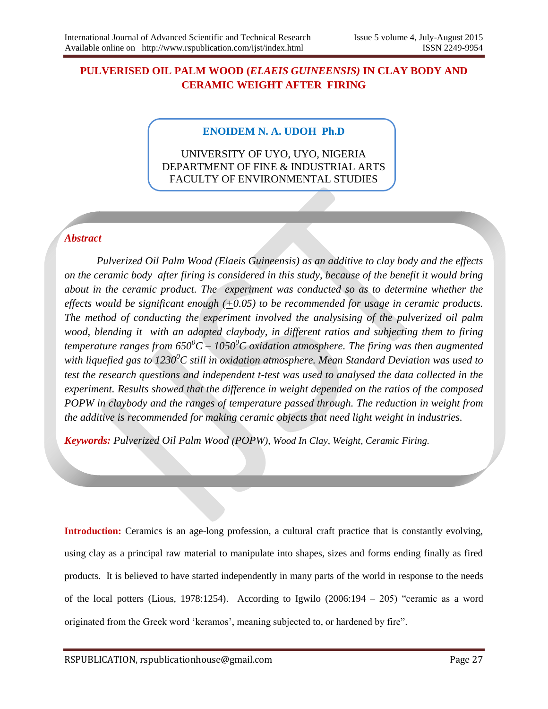# **PULVERISED OIL PALM WOOD (***ELAEIS GUINEENSIS)* **IN CLAY BODY AND CERAMIC WEIGHT AFTER FIRING**

#### **ENOIDEM N. A. UDOH Ph.D**

UNIVERSITY OF UYO, UYO, NIGERIA DEPARTMENT OF FINE & INDUSTRIAL ARTS FACULTY OF ENVIRONMENTAL STUDIES

### *Abstract*

 *Pulverized Oil Palm Wood (Elaeis Guineensis) as an additive to clay body and the effects on the ceramic body after firing is considered in this study, because of the benefit it would bring about in the ceramic product. The experiment was conducted so as to determine whether the effects would be significant enough (+0.05) to be recommended for usage in ceramic products. The method of conducting the experiment involved the analysising of the pulverized oil palm wood, blending it with an adopted claybody, in different ratios and subjecting them to firing temperature ranges from 650<sup>0</sup>C – 1050<sup>0</sup>C oxidation atmosphere. The firing was then augmented with liquefied gas to 1230<sup>0</sup>C still in oxidation atmosphere. Mean Standard Deviation was used to test the research questions and independent t-test was used to analysed the data collected in the experiment. Results showed that the difference in weight depended on the ratios of the composed POPW in claybody and the ranges of temperature passed through. The reduction in weight from the additive is recommended for making ceramic objects that need light weight in industries.*

*Keywords: Pulverized Oil Palm Wood (POPW), Wood In Clay, Weight, Ceramic Firing.*

**Introduction:** Ceramics is an age-long profession, a cultural craft practice that is constantly evolving, using clay as a principal raw material to manipulate into shapes, sizes and forms ending finally as fired products. It is believed to have started independently in many parts of the world in response to the needs of the local potters (Lious, 1978:1254). According to Igwilo  $(2006:194 - 205)$  "ceramic as a word originated from the Greek word "keramos", meaning subjected to, or hardened by fire".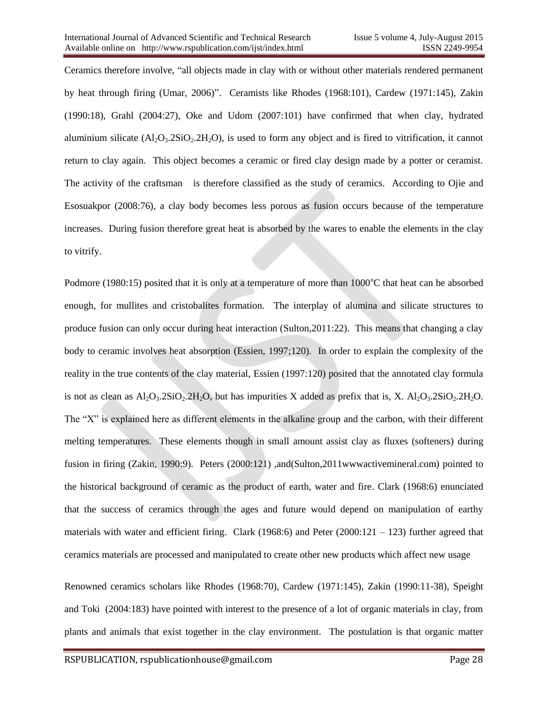Ceramics therefore involve, "all objects made in clay with or without other materials rendered permanent by heat through firing (Umar, 2006)". Ceramists like Rhodes (1968:101), Cardew (1971:145), Zakin (1990:18), Grahl (2004:27), Oke and Udom (2007:101) have confirmed that when clay, hydrated aluminium silicate  $(Al_2O_3.2SiO_2.2H_2O)$ , is used to form any object and is fired to vitrification, it cannot return to clay again. This object becomes a ceramic or fired clay design made by a potter or ceramist. The activity of the craftsman is therefore classified as the study of ceramics. According to Ojie and Esosuakpor (2008:76), a clay body becomes less porous as fusion occurs because of the temperature increases. During fusion therefore great heat is absorbed by the wares to enable the elements in the clay to vitrify.

Podmore (1980:15) posited that it is only at a temperature of more than  $1000^{\circ}$ C that heat can be absorbed enough, for mullites and cristobalites formation. The interplay of alumina and silicate structures to produce fusion can only occur during heat interaction (Sulton,2011:22). This means that changing a clay body to ceramic involves heat absorption (Essien, 1997;120). In order to explain the complexity of the reality in the true contents of the clay material, Essien (1997:120) posited that the annotated clay formula is not as clean as  $A<sub>1</sub>Q<sub>3</sub>$ .2SiO<sub>2</sub>.2H<sub>2</sub>O, but has impurities X added as prefix that is, X.  $A<sub>1</sub>Q<sub>3</sub>$ .2SiO<sub>2</sub>.2H<sub>2</sub>O. The "X" is explained here as different elements in the alkaline group and the carbon, with their different melting temperatures. These elements though in small amount assist clay as fluxes (softeners) during fusion in firing (Zakin, 1990:9). Peters (2000:121) ,and(Sulton,2011wwwactivemineral.com) pointed to the historical background of ceramic as the product of earth, water and fire. Clark (1968:6) enunciated that the success of ceramics through the ages and future would depend on manipulation of earthy materials with water and efficient firing. Clark (1968:6) and Peter (2000:121 – 123) further agreed that ceramics materials are processed and manipulated to create other new products which affect new usage

Renowned ceramics scholars like Rhodes (1968:70), Cardew (1971:145), Zakin (1990:11-38), Speight and Toki (2004:183) have pointed with interest to the presence of a lot of organic materials in clay, from plants and animals that exist together in the clay environment. The postulation is that organic matter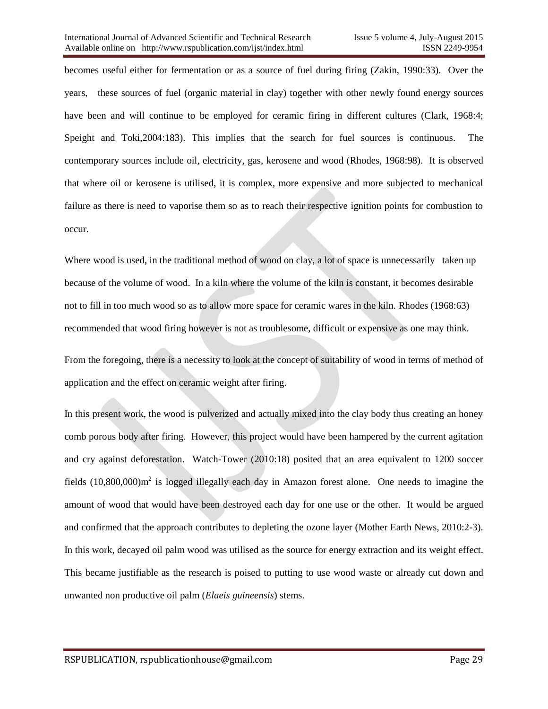becomes useful either for fermentation or as a source of fuel during firing (Zakin, 1990:33). Over the years, these sources of fuel (organic material in clay) together with other newly found energy sources have been and will continue to be employed for ceramic firing in different cultures (Clark, 1968:4; Speight and Toki,2004:183). This implies that the search for fuel sources is continuous. The contemporary sources include oil, electricity, gas, kerosene and wood (Rhodes, 1968:98). It is observed that where oil or kerosene is utilised, it is complex, more expensive and more subjected to mechanical failure as there is need to vaporise them so as to reach their respective ignition points for combustion to occur.

Where wood is used, in the traditional method of wood on clay, a lot of space is unnecessarily taken up because of the volume of wood. In a kiln where the volume of the kiln is constant, it becomes desirable not to fill in too much wood so as to allow more space for ceramic wares in the kiln. Rhodes (1968:63) recommended that wood firing however is not as troublesome, difficult or expensive as one may think.

From the foregoing, there is a necessity to look at the concept of suitability of wood in terms of method of application and the effect on ceramic weight after firing.

In this present work, the wood is pulverized and actually mixed into the clay body thus creating an honey comb porous body after firing. However, this project would have been hampered by the current agitation and cry against deforestation. Watch-Tower (2010:18) posited that an area equivalent to 1200 soccer fields  $(10,800,000)$ m<sup>2</sup> is logged illegally each day in Amazon forest alone. One needs to imagine the amount of wood that would have been destroyed each day for one use or the other. It would be argued and confirmed that the approach contributes to depleting the ozone layer (Mother Earth News, 2010:2-3). In this work, decayed oil palm wood was utilised as the source for energy extraction and its weight effect. This became justifiable as the research is poised to putting to use wood waste or already cut down and unwanted non productive oil palm (*Elaeis guineensis*) stems.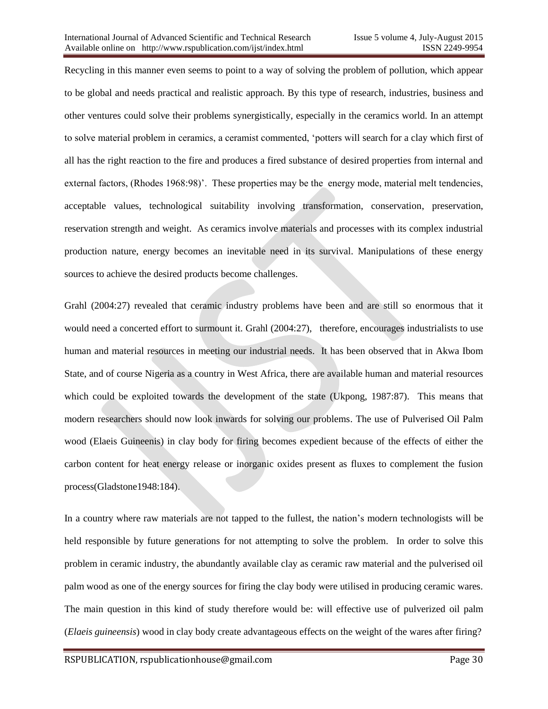Recycling in this manner even seems to point to a way of solving the problem of pollution, which appear to be global and needs practical and realistic approach. By this type of research, industries, business and other ventures could solve their problems synergistically, especially in the ceramics world. In an attempt to solve material problem in ceramics, a ceramist commented, "potters will search for a clay which first of all has the right reaction to the fire and produces a fired substance of desired properties from internal and external factors, (Rhodes 1968:98)'. These properties may be the energy mode, material melt tendencies, acceptable values, technological suitability involving transformation, conservation, preservation, reservation strength and weight. As ceramics involve materials and processes with its complex industrial production nature, energy becomes an inevitable need in its survival. Manipulations of these energy sources to achieve the desired products become challenges.

Grahl (2004:27) revealed that ceramic industry problems have been and are still so enormous that it would need a concerted effort to surmount it. Grahl (2004:27), therefore, encourages industrialists to use human and material resources in meeting our industrial needs. It has been observed that in Akwa Ibom State, and of course Nigeria as a country in West Africa, there are available human and material resources which could be exploited towards the development of the state (Ukpong, 1987:87). This means that modern researchers should now look inwards for solving our problems. The use of Pulverised Oil Palm wood (Elaeis Guineenis) in clay body for firing becomes expedient because of the effects of either the carbon content for heat energy release or inorganic oxides present as fluxes to complement the fusion process(Gladstone1948:184).

In a country where raw materials are not tapped to the fullest, the nation"s modern technologists will be held responsible by future generations for not attempting to solve the problem. In order to solve this problem in ceramic industry, the abundantly available clay as ceramic raw material and the pulverised oil palm wood as one of the energy sources for firing the clay body were utilised in producing ceramic wares. The main question in this kind of study therefore would be: will effective use of pulverized oil palm (*Elaeis guineensis*) wood in clay body create advantageous effects on the weight of the wares after firing?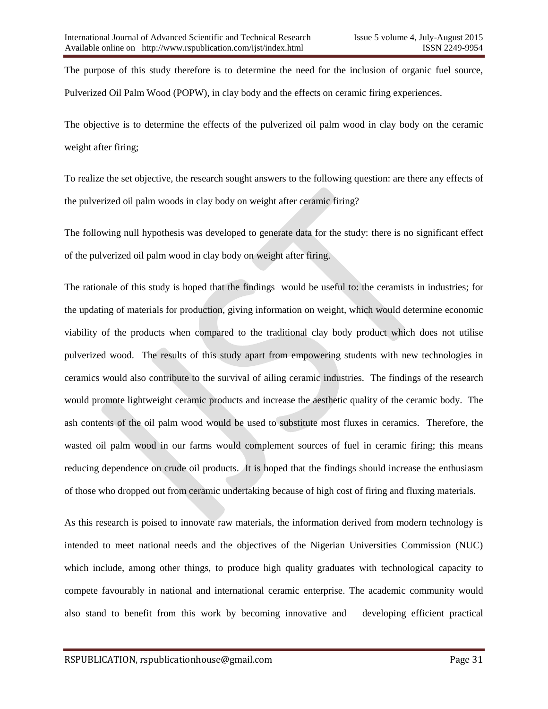The purpose of this study therefore is to determine the need for the inclusion of organic fuel source, Pulverized Oil Palm Wood (POPW), in clay body and the effects on ceramic firing experiences.

The objective is to determine the effects of the pulverized oil palm wood in clay body on the ceramic weight after firing;

To realize the set objective, the research sought answers to the following question: are there any effects of the pulverized oil palm woods in clay body on weight after ceramic firing?

The following null hypothesis was developed to generate data for the study: there is no significant effect of the pulverized oil palm wood in clay body on weight after firing.

The rationale of this study is hoped that the findings would be useful to: the ceramists in industries; for the updating of materials for production, giving information on weight, which would determine economic viability of the products when compared to the traditional clay body product which does not utilise pulverized wood. The results of this study apart from empowering students with new technologies in ceramics would also contribute to the survival of ailing ceramic industries. The findings of the research would promote lightweight ceramic products and increase the aesthetic quality of the ceramic body. The ash contents of the oil palm wood would be used to substitute most fluxes in ceramics. Therefore, the wasted oil palm wood in our farms would complement sources of fuel in ceramic firing; this means reducing dependence on crude oil products. It is hoped that the findings should increase the enthusiasm of those who dropped out from ceramic undertaking because of high cost of firing and fluxing materials.

As this research is poised to innovate raw materials, the information derived from modern technology is intended to meet national needs and the objectives of the Nigerian Universities Commission (NUC) which include, among other things, to produce high quality graduates with technological capacity to compete favourably in national and international ceramic enterprise. The academic community would also stand to benefit from this work by becoming innovative and developing efficient practical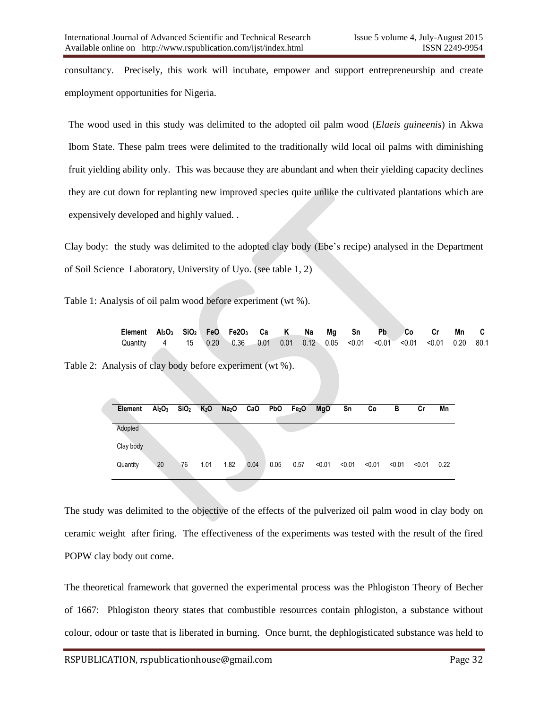consultancy. Precisely, this work will incubate, empower and support entrepreneurship and create employment opportunities for Nigeria.

The wood used in this study was delimited to the adopted oil palm wood (*Elaeis guineenis*) in Akwa Ibom State. These palm trees were delimited to the traditionally wild local oil palms with diminishing fruit yielding ability only. This was because they are abundant and when their yielding capacity declines they are cut down for replanting new improved species quite unlike the cultivated plantations which are expensively developed and highly valued. .

Clay body: the study was delimited to the adopted clay body (Ebe"s recipe) analysed in the Department of Soil Science Laboratory, University of Uyo. (see table 1, 2)

Table 1: Analysis of oil palm wood before experiment (wt %).

| Element Al2O <sub>3</sub> SiO <sub>2</sub> FeO Fe2O <sub>3</sub> Ca K Na Mg Sn Pb Co Cr Mn C |  |  |  |  |  |  |  |
|----------------------------------------------------------------------------------------------|--|--|--|--|--|--|--|
| Quantity 4 15 0.20 0.36 0.01 0.01 0.12 0.05 < 0.01 < 0.01 < 0.01 < 0.01 0.20 80.1            |  |  |  |  |  |  |  |

Table 2: Analysis of clay body before experiment (wt %).

| Element   | Al <sub>2</sub> O <sub>3</sub> | SiO <sub>2</sub> | K <sub>2</sub> O | Na <sub>2</sub> O CaO PbO Fe <sub>2</sub> O |      |      |      | <b>MgO</b> | Sn     | Co     | в      | Сr     | Mn   |
|-----------|--------------------------------|------------------|------------------|---------------------------------------------|------|------|------|------------|--------|--------|--------|--------|------|
| Adopted   |                                |                  |                  |                                             |      |      |      |            |        |        |        |        |      |
| Clay body |                                |                  |                  |                                             |      |      |      |            |        |        |        |        |      |
| Quantity  | 20                             | 76               | 1.01             | 1.82                                        | 0.04 | 0.05 | 0.57 | < 0.01     | < 0.01 | < 0.01 | < 0.01 | < 0.01 | 0.22 |

The study was delimited to the objective of the effects of the pulverized oil palm wood in clay body on ceramic weight after firing. The effectiveness of the experiments was tested with the result of the fired POPW clay body out come.

The theoretical framework that governed the experimental process was the Phlogiston Theory of Becher of 1667: Phlogiston theory states that combustible resources contain phlogiston, a substance without colour, odour or taste that is liberated in burning. Once burnt, the dephlogisticated substance was held to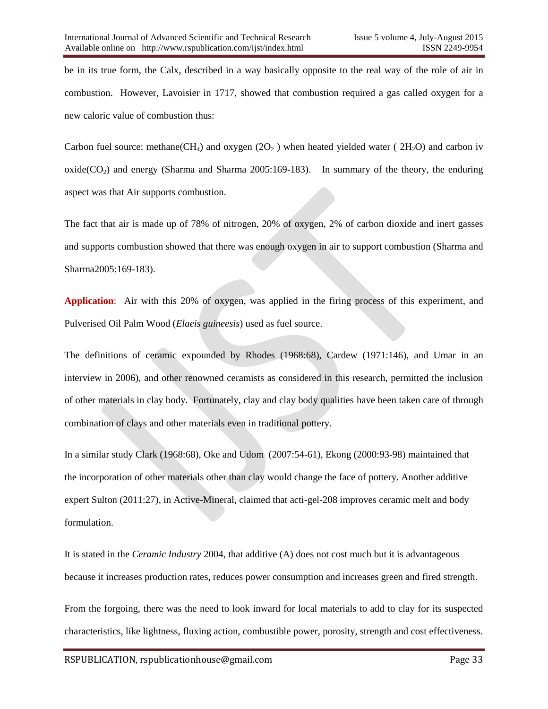be in its true form, the Calx, described in a way basically opposite to the real way of the role of air in combustion. However, Lavoisier in 1717, showed that combustion required a gas called oxygen for a new caloric value of combustion thus:

Carbon fuel source: methane(CH<sub>4</sub>) and oxygen (2O<sub>2</sub>) when heated yielded water (2H<sub>2</sub>O) and carbon iv  $oxide(CO<sub>2</sub>)$  and energy (Sharma and Sharma 2005:169-183). In summary of the theory, the enduring aspect was that Air supports combustion.

The fact that air is made up of 78% of nitrogen, 20% of oxygen, 2% of carbon dioxide and inert gasses and supports combustion showed that there was enough oxygen in air to support combustion (Sharma and Sharma2005:169-183).

**Application**: Air with this 20% of oxygen, was applied in the firing process of this experiment, and Pulverised Oil Palm Wood (*Elaeis guineesis*) used as fuel source.

The definitions of ceramic expounded by Rhodes (1968:68), Cardew (1971:146), and Umar in an interview in 2006), and other renowned ceramists as considered in this research, permitted the inclusion of other materials in clay body. Fortunately, clay and clay body qualities have been taken care of through combination of clays and other materials even in traditional pottery.

In a similar study Clark (1968:68), Oke and Udom (2007:54-61), Ekong (2000:93-98) maintained that the incorporation of other materials other than clay would change the face of pottery. Another additive expert Sulton (2011:27), in Active-Mineral, claimed that acti-gel-208 improves ceramic melt and body formulation.

It is stated in the *Ceramic Industry* 2004, that additive (A) does not cost much but it is advantageous because it increases production rates, reduces power consumption and increases green and fired strength.

From the forgoing, there was the need to look inward for local materials to add to clay for its suspected characteristics, like lightness, fluxing action, combustible power, porosity, strength and cost effectiveness.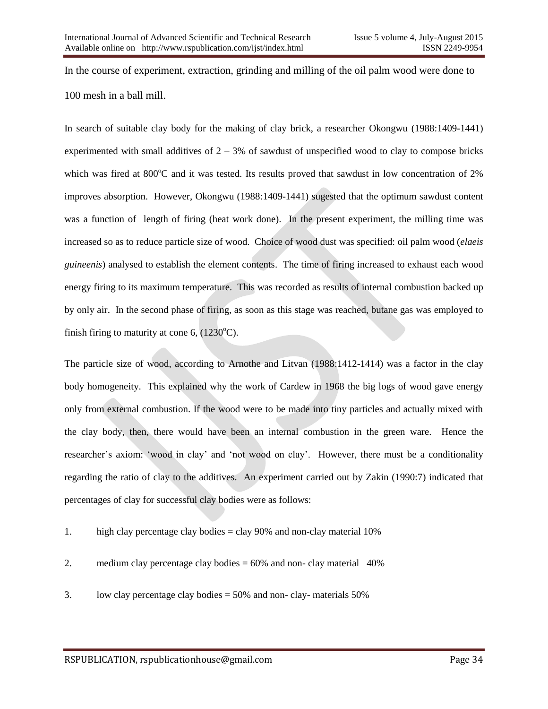In the course of experiment, extraction, grinding and milling of the oil palm wood were done to 100 mesh in a ball mill.

In search of suitable clay body for the making of clay brick, a researcher Okongwu (1988:1409-1441) experimented with small additives of  $2 - 3\%$  of sawdust of unspecified wood to clay to compose bricks which was fired at 800°C and it was tested. Its results proved that sawdust in low concentration of 2% improves absorption. However, Okongwu (1988:1409-1441) sugested that the optimum sawdust content was a function of length of firing (heat work done). In the present experiment, the milling time was increased so as to reduce particle size of wood. Choice of wood dust was specified: oil palm wood (*elaeis guineenis*) analysed to establish the element contents. The time of firing increased to exhaust each wood energy firing to its maximum temperature. This was recorded as results of internal combustion backed up by only air. In the second phase of firing, as soon as this stage was reached, butane gas was employed to finish firing to maturity at cone 6,  $(1230^{\circ}C)$ .

The particle size of wood, according to Arnothe and Litvan (1988:1412-1414) was a factor in the clay body homogeneity. This explained why the work of Cardew in 1968 the big logs of wood gave energy only from external combustion. If the wood were to be made into tiny particles and actually mixed with the clay body, then, there would have been an internal combustion in the green ware. Hence the researcher"s axiom: "wood in clay" and "not wood on clay". However, there must be a conditionality regarding the ratio of clay to the additives. An experiment carried out by Zakin (1990:7) indicated that percentages of clay for successful clay bodies were as follows:

- 1. high clay percentage clay bodies = clay 90% and non-clay material 10%
- 2. medium clay percentage clay bodies  $= 60\%$  and non-clay material 40%
- 3. low clay percentage clay bodies = 50% and non- clay- materials 50%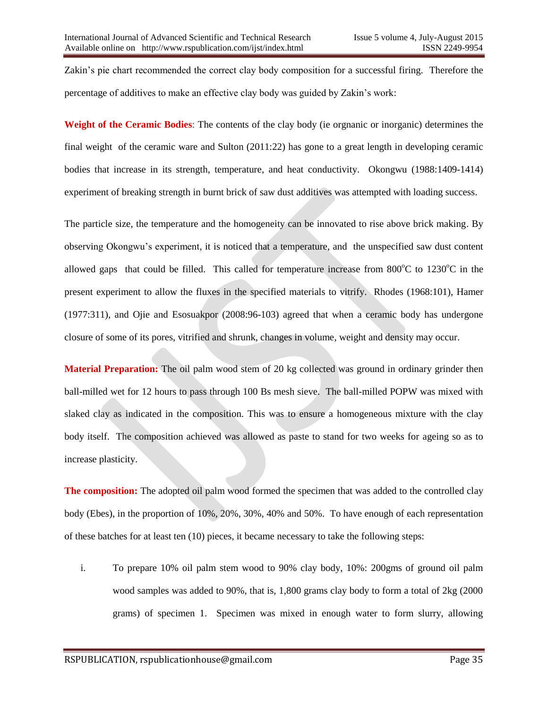Zakin"s pie chart recommended the correct clay body composition for a successful firing. Therefore the percentage of additives to make an effective clay body was guided by Zakin"s work:

**Weight of the Ceramic Bodies**: The contents of the clay body (ie orgnanic or inorganic) determines the final weight of the ceramic ware and Sulton (2011:22) has gone to a great length in developing ceramic bodies that increase in its strength, temperature, and heat conductivity. Okongwu (1988:1409-1414) experiment of breaking strength in burnt brick of saw dust additives was attempted with loading success.

The particle size, the temperature and the homogeneity can be innovated to rise above brick making. By observing Okongwu"s experiment, it is noticed that a temperature, and the unspecified saw dust content allowed gaps that could be filled. This called for temperature increase from  $800^{\circ}$ C to  $1230^{\circ}$ C in the present experiment to allow the fluxes in the specified materials to vitrify. Rhodes (1968:101), Hamer (1977:311), and Ojie and Esosuakpor (2008:96-103) agreed that when a ceramic body has undergone closure of some of its pores, vitrified and shrunk, changes in volume, weight and density may occur.

**Material Preparation:** The oil palm wood stem of 20 kg collected was ground in ordinary grinder then ball-milled wet for 12 hours to pass through 100 Bs mesh sieve. The ball-milled POPW was mixed with slaked clay as indicated in the composition. This was to ensure a homogeneous mixture with the clay body itself. The composition achieved was allowed as paste to stand for two weeks for ageing so as to increase plasticity.

**The composition:** The adopted oil palm wood formed the specimen that was added to the controlled clay body (Ebes), in the proportion of 10%, 20%, 30%, 40% and 50%. To have enough of each representation of these batches for at least ten (10) pieces, it became necessary to take the following steps:

i. To prepare 10% oil palm stem wood to 90% clay body, 10%: 200gms of ground oil palm wood samples was added to 90%, that is, 1,800 grams clay body to form a total of 2kg (2000 grams) of specimen 1. Specimen was mixed in enough water to form slurry, allowing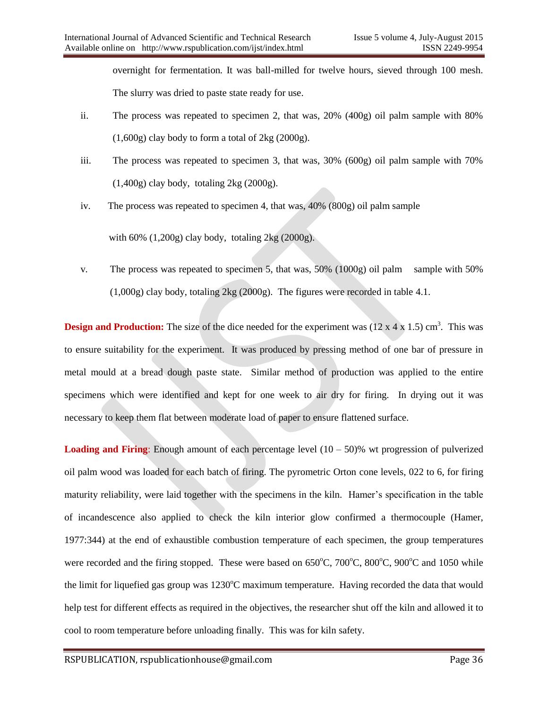overnight for fermentation. It was ball-milled for twelve hours, sieved through 100 mesh. The slurry was dried to paste state ready for use.

- ii. The process was repeated to specimen 2, that was, 20% (400g) oil palm sample with 80%  $(1,600g)$  clay body to form a total of 2kg  $(2000g)$ .
- iii. The process was repeated to specimen 3, that was, 30% (600g) oil palm sample with 70%  $(1,400g)$  clay body, totaling 2kg  $(2000g)$ .
- iv. The process was repeated to specimen 4, that was, 40% (800g) oil palm sample

with  $60\%$  (1,200g) clay body, totaling  $2\text{kg}$  (2000g).

v. The process was repeated to specimen 5, that was,  $50\%$  (1000g) oil palm sample with 50% (1,000g) clay body, totaling 2kg (2000g). The figures were recorded in table 4.1.

**Design and Production:** The size of the dice needed for the experiment was  $(12 \times 4 \times 1.5)$  cm<sup>3</sup>. This was to ensure suitability for the experiment. It was produced by pressing method of one bar of pressure in metal mould at a bread dough paste state. Similar method of production was applied to the entire specimens which were identified and kept for one week to air dry for firing. In drying out it was necessary to keep them flat between moderate load of paper to ensure flattened surface.

**Loading and Firing**: Enough amount of each percentage level  $(10 - 50)$ % wt progression of pulverized oil palm wood was loaded for each batch of firing. The pyrometric Orton cone levels, 022 to 6, for firing maturity reliability, were laid together with the specimens in the kiln. Hamer"s specification in the table of incandescence also applied to check the kiln interior glow confirmed a thermocouple (Hamer, 1977:344) at the end of exhaustible combustion temperature of each specimen, the group temperatures were recorded and the firing stopped. These were based on  $650^{\circ}$ C,  $700^{\circ}$ C,  $800^{\circ}$ C,  $900^{\circ}$ C and  $1050$  while the limit for liquefied gas group was  $1230^{\circ}$ C maximum temperature. Having recorded the data that would help test for different effects as required in the objectives, the researcher shut off the kiln and allowed it to cool to room temperature before unloading finally. This was for kiln safety.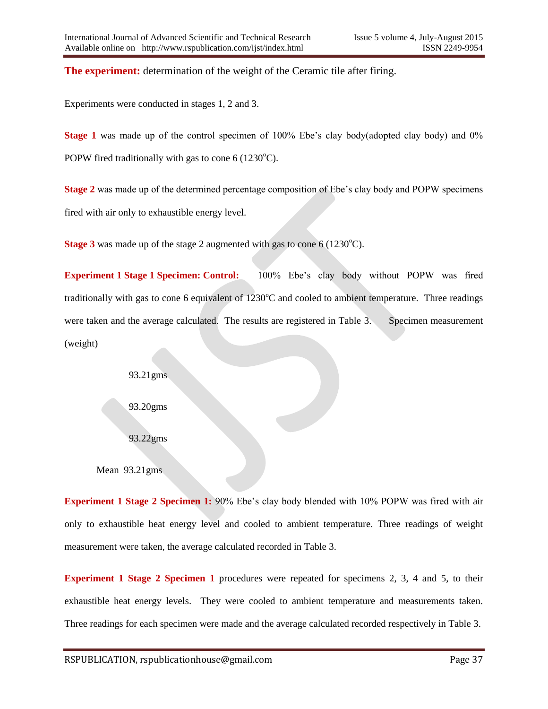**The experiment:** determination of the weight of the Ceramic tile after firing.

Experiments were conducted in stages 1, 2 and 3.

**Stage 1** was made up of the control specimen of 100% Ebe's clay body(adopted clay body) and 0% POPW fired traditionally with gas to cone  $6(1230^{\circ}C)$ .

**Stage 2** was made up of the determined percentage composition of Ebe's clay body and POPW specimens fired with air only to exhaustible energy level.

**Stage 3** was made up of the stage 2 augmented with gas to cone  $6(1230^{\circ}C)$ .

**Experiment 1 Stage 1 Specimen: Control:** 100% Ebe's clay body without POPW was fired traditionally with gas to cone 6 equivalent of  $1230^{\circ}$ C and cooled to ambient temperature. Three readings were taken and the average calculated. The results are registered in Table 3. Specimen measurement (weight)

> 93.21gms 93.20gms

93.22gms

Mean 93.21gms

**Experiment 1 Stage 2 Specimen 1:** 90% Ebe's clay body blended with 10% POPW was fired with air only to exhaustible heat energy level and cooled to ambient temperature. Three readings of weight measurement were taken, the average calculated recorded in Table 3.

**Experiment 1 Stage 2 Specimen 1** procedures were repeated for specimens 2, 3, 4 and 5, to their exhaustible heat energy levels. They were cooled to ambient temperature and measurements taken. Three readings for each specimen were made and the average calculated recorded respectively in Table 3.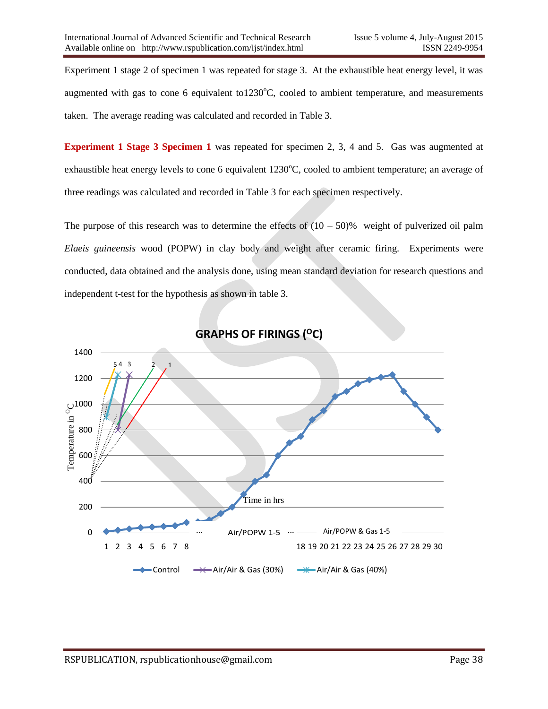Experiment 1 stage 2 of specimen 1 was repeated for stage 3. At the exhaustible heat energy level, it was augmented with gas to cone 6 equivalent to  $1230^{\circ}$ C, cooled to ambient temperature, and measurements taken. The average reading was calculated and recorded in Table 3.

**Experiment 1 Stage 3 Specimen 1** was repeated for specimen 2, 3, 4 and 5. Gas was augmented at exhaustible heat energy levels to cone 6 equivalent 1230°C, cooled to ambient temperature; an average of three readings was calculated and recorded in Table 3 for each specimen respectively.

The purpose of this research was to determine the effects of  $(10 - 50)$ % weight of pulverized oil palm *Elaeis guineensis* wood (POPW) in clay body and weight after ceramic firing. Experiments were conducted, data obtained and the analysis done, using mean standard deviation for research questions and independent t-test for the hypothesis as shown in table 3.



## **GRAPHS OF FIRINGS (<sup>O</sup>C)**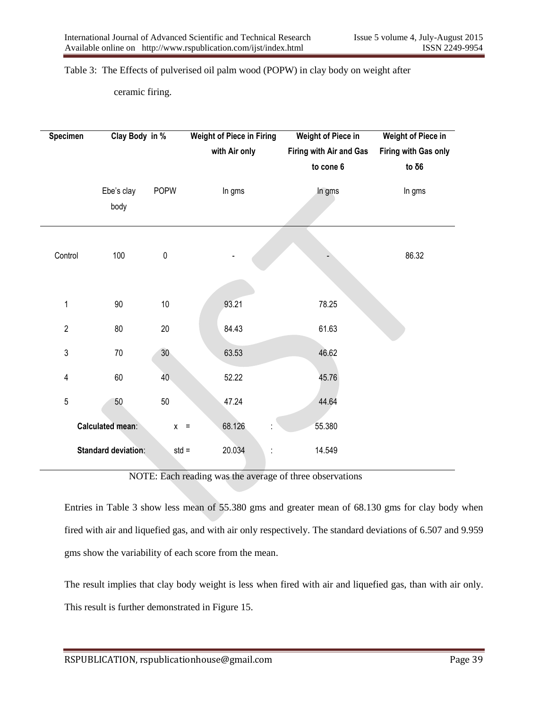Table 3: The Effects of pulverised oil palm wood (POPW) in clay body on weight after

ceramic firing.

| <b>Specimen</b>         | Clay Body in %             |                 | <b>Weight of Piece in Firing</b> | <b>Weight of Piece in</b> | <b>Weight of Piece in</b> |  |  |
|-------------------------|----------------------------|-----------------|----------------------------------|---------------------------|---------------------------|--|--|
|                         |                            |                 | with Air only                    | Firing with Air and Gas   | Firing with Gas only      |  |  |
|                         |                            |                 |                                  | to cone 6                 | to δ $6$                  |  |  |
|                         | Ebe's clay<br>body         | <b>POPW</b>     | In gms                           | In gms                    | In gms                    |  |  |
| Control                 | 100                        | $\pmb{0}$       |                                  |                           | 86.32                     |  |  |
| $\mathbf{1}$            | 90                         | 10              | 93.21                            | 78.25                     |                           |  |  |
| $\overline{2}$          | 80                         | $20\,$          | 84.43                            | 61.63                     |                           |  |  |
| 3                       | 70                         | 30 <sub>o</sub> | 63.53                            | 46.62                     |                           |  |  |
| $\overline{\mathbf{4}}$ | 60                         | 40              | 52.22                            | 45.76                     |                           |  |  |
| 5                       | 50                         | $50\,$          | 47.24                            | 44.64                     |                           |  |  |
|                         | Calculated mean:           | $\mathsf{X}^-$  | 68.126<br>$\equiv$               | 55.380                    |                           |  |  |
|                         | <b>Standard deviation:</b> | $std =$         | 20.034                           | 14.549                    |                           |  |  |

NOTE: Each reading was the average of three observations

Entries in Table 3 show less mean of 55.380 gms and greater mean of 68.130 gms for clay body when fired with air and liquefied gas, and with air only respectively. The standard deviations of 6.507 and 9.959 gms show the variability of each score from the mean.

The result implies that clay body weight is less when fired with air and liquefied gas, than with air only. This result is further demonstrated in Figure 15.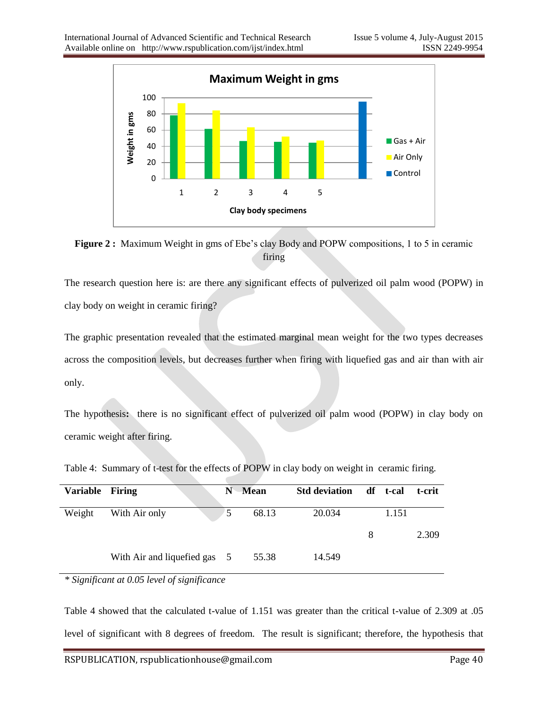

Figure 2 : Maximum Weight in gms of Ebe's clay Body and POPW compositions, 1 to 5 in ceramic firing

The research question here is: are there any significant effects of pulverized oil palm wood (POPW) in clay body on weight in ceramic firing?

The graphic presentation revealed that the estimated marginal mean weight for the two types decreases across the composition levels, but decreases further when firing with liquefied gas and air than with air only.

The hypothesis**:** there is no significant effect of pulverized oil palm wood (POPW) in clay body on ceramic weight after firing.

| <b>Variable</b> | Firing                       | N | <b>Mean</b> | <b>Std deviation</b> |   | df t-cal | t-crit |
|-----------------|------------------------------|---|-------------|----------------------|---|----------|--------|
| Weight          | With Air only                | 5 | 68.13       | 20.034               |   | 1.151    |        |
|                 |                              |   |             |                      | 8 |          | 2.309  |
|                 | With Air and liquefied gas 5 |   | 55.38       | 14.549               |   |          |        |

Table 4: Summary of t-test for the effects of POPW in clay body on weight in ceramic firing.

*\* Significant at 0.05 level of significance* 

Table 4 showed that the calculated t-value of 1.151 was greater than the critical t-value of 2.309 at .05 level of significant with 8 degrees of freedom. The result is significant; therefore, the hypothesis that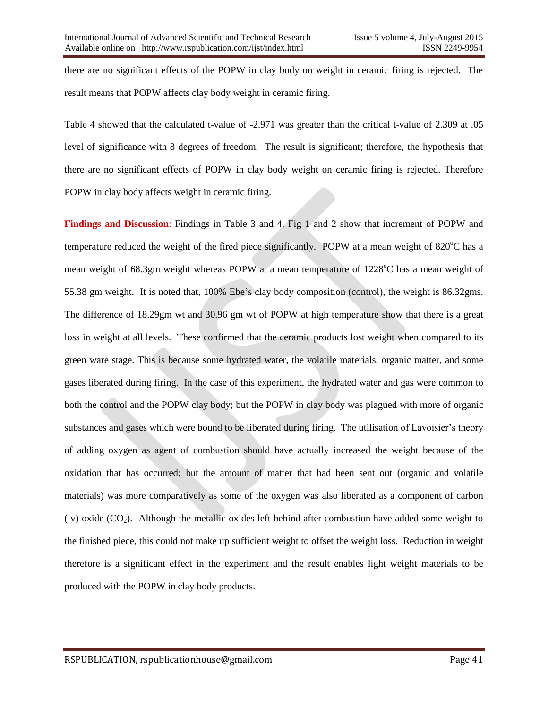there are no significant effects of the POPW in clay body on weight in ceramic firing is rejected. The result means that POPW affects clay body weight in ceramic firing.

Table 4 showed that the calculated t-value of -2.971 was greater than the critical t-value of 2.309 at .05 level of significance with 8 degrees of freedom. The result is significant; therefore, the hypothesis that there are no significant effects of POPW in clay body weight on ceramic firing is rejected. Therefore POPW in clay body affects weight in ceramic firing.

**Findings and Discussion**: Findings in Table 3 and 4, Fig 1 and 2 show that increment of POPW and temperature reduced the weight of the fired piece significantly. POPW at a mean weight of 820°C has a mean weight of 68.3gm weight whereas POPW at a mean temperature of 1228<sup>o</sup>C has a mean weight of 55.38 gm weight. It is noted that, 100% Ebe's clay body composition (control), the weight is 86.32gms. The difference of 18.29gm wt and 30.96 gm wt of POPW at high temperature show that there is a great loss in weight at all levels. These confirmed that the ceramic products lost weight when compared to its green ware stage. This is because some hydrated water, the volatile materials, organic matter, and some gases liberated during firing. In the case of this experiment, the hydrated water and gas were common to both the control and the POPW clay body; but the POPW in clay body was plagued with more of organic substances and gases which were bound to be liberated during firing. The utilisation of Lavoisier's theory of adding oxygen as agent of combustion should have actually increased the weight because of the oxidation that has occurred; but the amount of matter that had been sent out (organic and volatile materials) was more comparatively as some of the oxygen was also liberated as a component of carbon (iv) oxide  $(CO<sub>2</sub>)$ . Although the metallic oxides left behind after combustion have added some weight to the finished piece, this could not make up sufficient weight to offset the weight loss. Reduction in weight therefore is a significant effect in the experiment and the result enables light weight materials to be produced with the POPW in clay body products.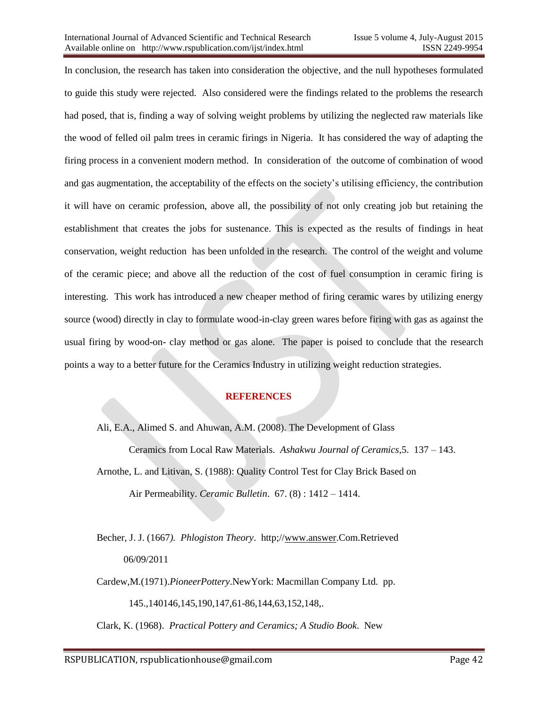In conclusion, the research has taken into consideration the objective, and the null hypotheses formulated to guide this study were rejected. Also considered were the findings related to the problems the research had posed, that is, finding a way of solving weight problems by utilizing the neglected raw materials like the wood of felled oil palm trees in ceramic firings in Nigeria. It has considered the way of adapting the firing process in a convenient modern method. In consideration of the outcome of combination of wood and gas augmentation, the acceptability of the effects on the society"s utilising efficiency, the contribution it will have on ceramic profession, above all, the possibility of not only creating job but retaining the establishment that creates the jobs for sustenance. This is expected as the results of findings in heat conservation, weight reduction has been unfolded in the research. The control of the weight and volume of the ceramic piece; and above all the reduction of the cost of fuel consumption in ceramic firing is interesting. This work has introduced a new cheaper method of firing ceramic wares by utilizing energy source (wood) directly in clay to formulate wood-in-clay green wares before firing with gas as against the usual firing by wood-on- clay method or gas alone. The paper is poised to conclude that the research points a way to a better future for the Ceramics Industry in utilizing weight reduction strategies.

### **REFERENCES**

Ali, E.A., Alimed S. and Ahuwan, A.M. (2008). The Development of Glass Ceramics from Local Raw Materials. *Ashakwu Journal of Ceramics,*5. 137 – 143. Arnothe, L. and Litivan, S. (1988): Quality Control Test for Clay Brick Based on Air Permeability. *Ceramic Bulletin*. 67. (8) : 1412 – 1414.

Becher, J. J. (1667*). Phlogiston Theory*. http;/[/www.answer.](http://www.answer/)Com.Retrieved 06/09/2011

Cardew,M.(1971).*PioneerPottery*.NewYork: Macmillan Company Ltd. pp.

145.,140146,145,190,147,61-86,144,63,152,148,.

Clark, K. (1968). *Practical Pottery and Ceramics; A Studio Book*. New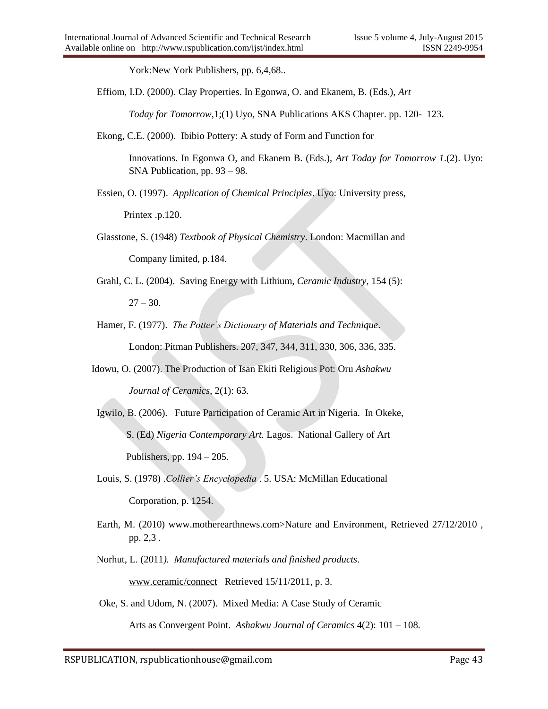York:New York Publishers, pp. 6,4,68..

Effiom, I.D. (2000). Clay Properties. In Egonwa, O. and Ekanem, B. (Eds.), *Art* 

*Today for Tomorrow*,1;(1) Uyo, SNA Publications AKS Chapter. pp. 120- 123.

Ekong, C.E. (2000). Ibibio Pottery: A study of Form and Function for

Innovations. In Egonwa O, and Ekanem B. (Eds.), *Art Today for Tomorrow 1*.(2). Uyo: SNA Publication, pp. 93 – 98.

Essien, O. (1997). *Application of Chemical Principles*. Uyo: University press,

Printex .p.120.

Glasstone, S. (1948) *Textbook of Physical Chemistry*. London: Macmillan and Company limited, p.184.

 Grahl, C. L. (2004). Saving Energy with Lithium, *Ceramic Industry,* 154 (5):  $27 - 30.$ 

Hamer, F. (1977). *The Potter's Dictionary of Materials and Technique*.

London: Pitman Publishers. 207, 347, 344, 311, 330, 306, 336, 335.

Idowu, O. (2007). The Production of Isan Ekiti Religious Pot: Oru *Ashakwu* 

*Journal of Ceramics*, 2(1): 63.

- Igwilo, B. (2006). Future Participation of Ceramic Art in Nigeria. In Okeke, S. (Ed) *Nigeria Contemporary Art.* Lagos. National Gallery of Art Publishers, pp. 194 – 205.
- Louis, S. (1978) .*Collier's Encyclopedia* . 5. USA: McMillan Educational Corporation, p. 1254.
- Earth, M. (2010) www.motherearthnews.com>Nature and Environment, Retrieved 27/12/2010 , pp. 2,3 .
- Norhut, L. (2011*). Manufactured materials and finished products*.

[www.ceramic/connect](http://www.ceramic/connect) Retrieved 15/11/2011, p. 3.

Oke, S. and Udom, N. (2007). Mixed Media: A Case Study of Ceramic

Arts as Convergent Point. *Ashakwu Journal of Ceramics* 4(2): 101 – 108.